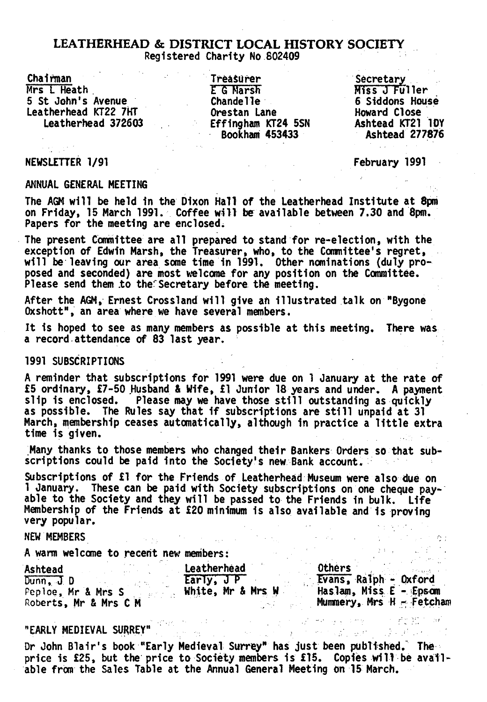Chairman Mrs I Heath 5 St John's Avenue Leatherhead KT22 7HT Leatherhead 372603

Treasurer **E** G Marsh Chandelle Orestan Lane Effingham KT24 5SN Bookham 453433

**Secretary** Miss 0 Fuller 6 Siddons House Howard Close Ashtead KT21 10Y Ashtead 277876

## NEWSLETTER 1/91

February 1991

しょうしょう しんりょう ゆう 

ANNUAL GENERAL MEETING

The AGM will be held in the Dixon Hall of the Leatherhead Institute at 8pm on Friday, 15 March 1991. Coffee will be available between 7.30 and 8pm. Papers for the meeting are enclosed;

The present Committee are all prepared to stand for re-election, with the exception of Edwin Marsh, the Treasurer, who, to the Committee's regret, will be leaving our area some time in 1991. Other nominations (duly proposed and seconded) are most welcome for any position on the Committee. Please send them to the Secretary before the meeting.

After the AGM, Ernest Crossland will give an illustrated talk on "Bygone Oxshott", an area where we have several members.

It is hoped to see as many members as possible at this meeting. There was a record attendance of 83 last year.

# 1991 SUBSCRIPTIONS

A reminder that subscriptions for 1991 were due on 1 January at the rate of £5 ordinary, £7-50 Husband & Wife, £1 Junior 18 years and under. A payment slip is enclosed. Please may we have those still outstanding as quickly as possible. The Rules say that if subscriptions are still unpaid at 31 March, membership ceases automatically, although in practice a little extra time is given.

Many thanks to those members who changed their Bankers Orders so that subscriptions could be paid into the Society's new Bank account.

Subscriptions of £1 for the Friends of Leatherhead Museum were also due on 1 January. These can be paid with Society subscriptions on one cheque payable to the Society and they will be passed to the Friends in bulk. Life Membership of the Friends at £20 minimum is also available and is proving very popular.

and the company

# NEW MEMBERS

A warm welcome to recent new members:

| Ashtead               | Leatherhead       | <b>Others</b>            |
|-----------------------|-------------------|--------------------------|
| Dunn, J. D            | Early, JP         | Evans, Ralph - Oxford    |
| Peploe, Mr & Mrs S    | White, Mr & Mrs W | Haslam, Miss E - Epsom   |
| Roberts, Mr & Mrs C M |                   | Mummery, Mrs H - Fetcham |

 $\label{eq:1} \frac{1}{\sqrt{2}}\left(\frac{1}{2}\left(\frac{1}{2}\sum_{i=1}^{n} \frac{1}{2}\left(\frac{1}{2}\sum_{i=1}^{n} \frac{1}{2}\left(\frac{1}{2}\sum_{i=1}^{n} \frac{1}{2}\right)\right)\right)^{2}}\right)^{2}$ 

 $\sim 10^{-11}$ 

 $\mathbf{a}^{(1)}$  ,  $\mathbf{b}^{(2)}$  ,  $\mathbf{b}^{(1)}$  ,  $\mathbf{b}^{(2)}$ 

# "EARLY MEDIEVAL SURREY"<sup>" office</sup> the state of the second of the second service of the Matter of

Dr John Blair's book "Early Medieval Surrey" has just been published. The price is £25, but the price to Society members is £15. Copies will be available from the Sales Table at the Annual General Meeting on 15 March.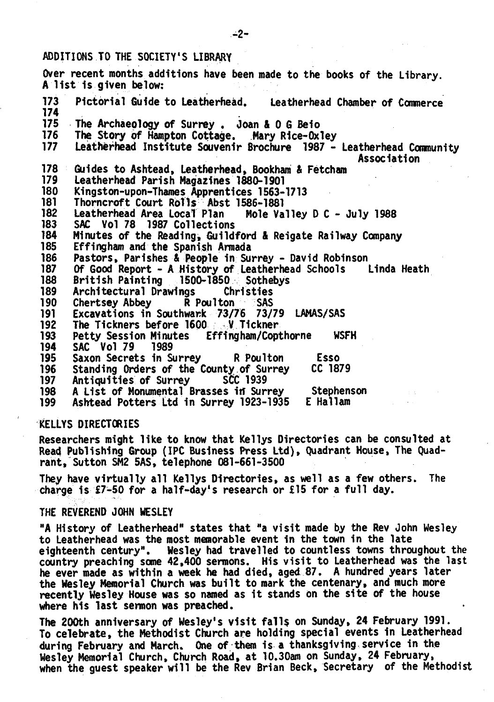# ADDITIONS TO THE SOCIETY'S LIBRARY

Over recent months additions have been made to the books of the Library. A list is given below: 173 Pictorial Guide to Leatherhead. Leatherhead Chamber of Commerce 174 175 The Archaeology of Surrey . Joan & 0 G Beio<br>176 The Story of Hampton Cottage. Mary Rice-Ox 176 The Story of Hampton Cottage. Mary Rice-Oxley<br>177 Leatherhead Institute Souvenir Brochure 1987 -177 Leatherhead Institute Souvenir Brochure 1987 - Leatherhead Community Association 178 Guides to Ashtead, Leatherhead, Bookham & Fetcham 179 Leatherhead Parish Magazines 1880-1901 180 Kingston-upon-Thames Apprentices 1563-1713 181 - Thorncroft Court Rolls Abst 1586-1881<br>182 - Leatherhead Area Local Plan - Mole Valley D.C. - July 1988 182 Leatherhead Area Local Plan<br>183 SAC Vol 78 1987 Collections 183 SAC Vol 78 1987 Collections<br>184 Minutes of the Reading, Guildi 184 Minutes of the Reading, Guildford & Reigate Railway Company Effingham and the Spanish Armada 186 Pastors, Parishes & People in Surrey - David Robinson<br>187 Of Good Report - A History of Leatherhead Schools 187 Of Good Report - A History of Leatherhead Schools Linda Heath 188 British Painting 1500-1850 Sothebys 189 Architectural Drawings Christies 190 Chertsey Abbey R Poulton SAS 191 Excavations in Southwark 73/76 73/79 LAMAS/SAS<br>192 The Tickners before 1600 ... V Tickner The Tickners before 1600 193 Petty Session Minutes Effingham/Copthorne WSFH 194 SAC Vol 79 1989 195 Saxon Secrets in Surrey R Poulton Esso 196 Standing Orders of the County of Surrey 197 Antiquities of Surrey SCC 1939 198 A List of Monumental Brasses in Surrey Stephenson<br>199 Ashtead Potters Ltd in Surrey 1923-1935 E Hallam 199 Ashtead Potters Ltd in Surrey 1923-1935

# KELLYS DIRECTORIES

Researchers might like to know that Kellys Directories can be consulted at Read Publishing Group (IPC Business Press Ltd), Quadrant House, The Quadrant, Sutton SM2 5AS, telephone 081-661-3500

They have virtually all Kellys Directories, as well as a few others. The charge is £7-50 for a half-day's research or £15 for a full day.

## THE REVEREND JOHN WESLEY

"A History of Leatherhead" states that "a visit made by the Rev John Wesley to Leatherhead was the most memorable event in the town in the late eighteenth century". Wesley had travelled to countless towns throughout the country preaching some 42,400 sermons. His visit to Leatherhead was the last he ever made as within a week he had died, aged 87. A hundred years later the Wesley Memorial Church was built to mark the centenary, and much more recently Wesley House was so named as it stands on the site of the house where his last sermon was preached.

The 200th anniversary of Wesley's visit falls on Sunday, 24 February 1991. To celebrate, the Methodist Church are holding special events in Leatherhead during February and March. One of them is a thanksgiving service in the Wesley Memorial Church, Church Road, at 10.30am on Sunday, 24 February, when the guest speaker will be the Rev Brian Beck, Secretary of the Methodist

**-2 -**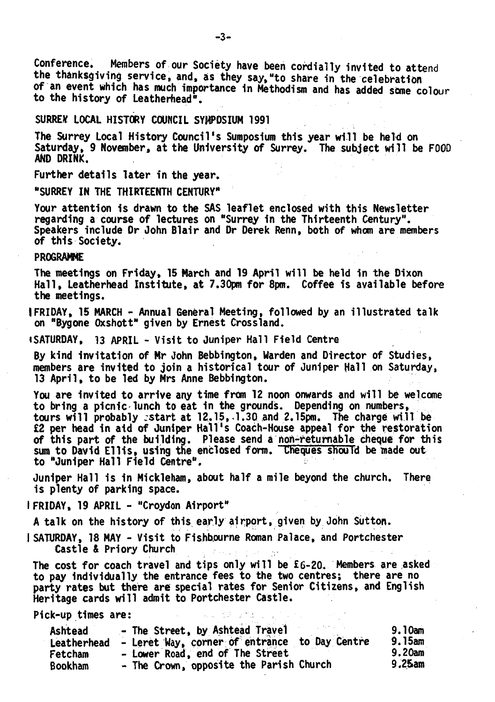Conference. Members of our Society have been cordially invited to attend the thanksgiving service, and, as they say, "to share in the celebration of an event which has much importance in Methodism and has added some colour to the history of Leatherhead".

# SURREY LOCAL HISTORY COUNCIL SYMPOSIUM 1991

The Surrey Local History Council's Sumposium this year will be held on Saturday, 9 November, at the University of Surrey. The subject will be FOOD AND DRINK.

Further details later in the year.

"SURREY IN THE THIRTEENTH CENTURY"

Your attention is drawn to the SAS leaflet enclosed with this Newsletter regarding a course of lectures on "Surrey in the Thirteenth Century". Speakers include Or John Blair and Dr Derek Renn, both of whom are members of this Society.

# **PROGRAMME**

The meetings on Friday, 15 March and 19 April will be held in the Dixon Hall, Leatherhead Institute, at 7.30pm for 8pm. Coffee is available before the meetings.

IFRIDAY, 15 MARCH - Annual General Meeting, followed by an illustrated talk on "Bygone Oxshott" given by Ernest Crossland.

iSATURDAY, 13 APRIL - Visit to Juniper Hall Field Centre

By kind invitation of Mr John Bebbington, Warden and Director of Studies, members are invited to join a historical tour of Juniper Hall on Saturday, 13 April, to be led by Mrs Anne Bebbington.

You are invited to arrive any time from 12 noon onwards and will be welcome to bring a picnic lunch to eat in the grounds. Depending on numbers, tours will probably -start at 12.15,-1.30 and 2.15pm. The charge will be £2 per head in aid of Juniper Hall's Coach-House appeal for the restoration of this part of the building. Please send a non-returnable cheque for this sum to David Ellis, using the enclosed form. Theques should be made out to "Juniper Hall Field Centre".

Juniper Hall is in Mickleham, about half a mile beyond the church. There is plenty of parking space.

I FRIDAY, 19 APRIL - "Croydon Airport"

A talk on the history of this early airport, given by John Sutton.

I SATURDAY, 18 MAY - Visit to Fishbourne Roman Palace, and Portchester Castle & Priory Church

The cost for coach travel and tips only will be £6-20. Members are asked to pay individually the entrance fees to the two centres; there are no party rates but there are special rates for Senior Citizens, and English Heritage cards will admit to Portchester Castle.

Pick-up times are:

| Ashtead        | - The Street, by Ashtead Travel               | 9.10am |
|----------------|-----------------------------------------------|--------|
| Leatherhead    | - Leret Way, corner of entrance to Day Centre | 9.15am |
| Fetcham        | - Lower Road, end of The Street               | 9.20am |
| <b>Bookham</b> | - The Crown, opposite the Parish Church       | 9.25am |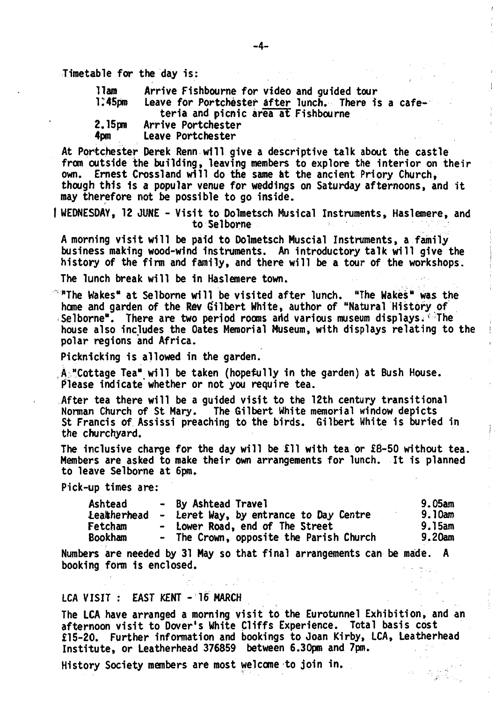Timetable for the day is:

| llam               | Arrive Fishbourne for video and guided tour                                                |  |  |
|--------------------|--------------------------------------------------------------------------------------------|--|--|
| 1.45 <sub>cm</sub> | Leave for Portchester after lunch. There is a cafe-<br>teria and picnic area at Fishbourne |  |  |
| 2.15mm             | Arrive Portchester                                                                         |  |  |
| 4pm                | Leave Portchester                                                                          |  |  |

At Portchester Derek Renn will give a descriptive talk about the castle from outside the building, leaving members to explore the interior on their own. Ernest Crossland will do the same at the ancient Priory Church, though this Is a popular venue for weddings on Saturday afternoons, and it may therefore not be possible to go inside.

WEDNESDAY, 12 JUNE - Visit to Dolmetsch Musical Instruments, Haslemere, and to Sel borne

A morning visit will be paid to Dolmetsch Muscial Instruments, a family business making wood-wind instruments. An introductory talk will give the history of the firm and family, and there will be a tour of the workshops.

The lunch break will be in Haslemere town.

 $\degree$  The Wakes" at Selborne will be visited after lunch. "The Wakes" was the home and garden of the Rev Gilbert White, author of "Natural History of Selborne". There are two period rooms arid various museum displays. • The house also Includes the Oates Memorial Museum, with displays relating to the polar regions and Africa.

Picknicking is allowed in the garden.

A ,"Cottage Tea" will be taken (hopefully in the garden) at Bush House. Please indicate'whether or not you require tea.

After tea there will be a guided visit to the 12th century transitional Norman Church of St Mary. The Gilbert White memorial window depicts St Francis of Assissi preaching to the birds. Gilbert White is buried in the churchyard.

The inclusive charge for the day will be £11 with tea or £8-50 without tea. Members are asked to make their own arrangements for lunch. It is planned to leave Selborne at 6pm.

Pick-up times are:

| Ashtead     | - By Ashtead Travel                     | 9.05am  |
|-------------|-----------------------------------------|---------|
| Leatherhead | - Leret Way, by entrance to Day Centre  | 9.10am  |
| Fetcham     | - Lower Road, end of The Street         | ∙9.15am |
| Bookham     | - The Crown, opposite the Parish Church | 9.20am  |

Numbers are needed by 31 May so that final arrangements can be made. A booking form 1s enclosed.

## LCA VISIT : EAST KENT - 16 MARCH

The LCA have arranged a morning visit to the Eurotunnel Exhibition, and an afternoon visit to Dover's White Cliffs Experience. Total basis cost £15-20. Further information and bookings to Joan Kirby, LCA, Leatherhead Institute, or Leatherhead 376859 between 6.30pm and 7pm.

History Society members are most welcome to join in.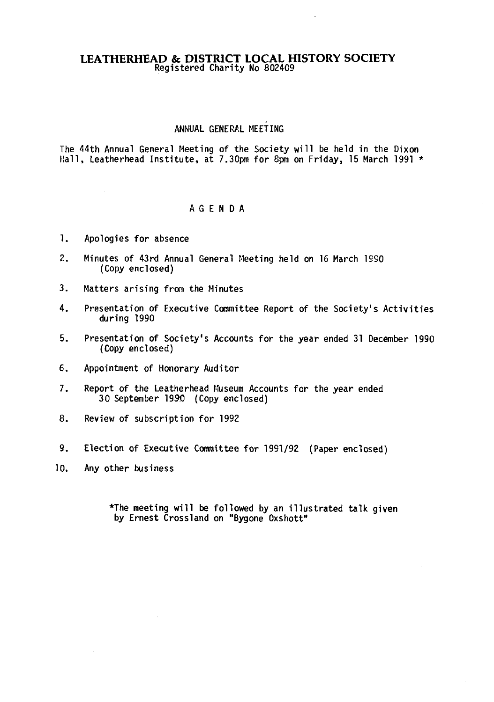# ANNUAL GENERAL MEETING

The 44th Annual General Meeting of the Society will be held in the Dixon Hall, Leatherhead Institute, at 7.30pm for 8pm on Friday, 15 March 1991  $\star$ 

# AGENDA

- 1. Apologies for absence
- 2. Minutes of 43rd Annual General Meeting held on 16 March 1S50 (Copy enclosed)
- 3. Matters arising from the Minutes
- 4. Presentation of Executive Committee Report of the Society's Activities during 1990
- 5. Presentation of Society's Accounts for the year ended 31 December 1990 (Copy enclosed)
- 6. Appointment of Honorary Auditor
- 7. Report of the Leatherhead Museum Accounts for the year ended 30 September 1990 (Copy enclosed)
- 8. Review of subscription for 1992
- 9. Election of Executive Committee for 1991/92 (Paper enclosed)
- 10. Any other business

\*The meeting will be followed by an illustrated talk given by Ernest Crossland on "Bygone Oxshott"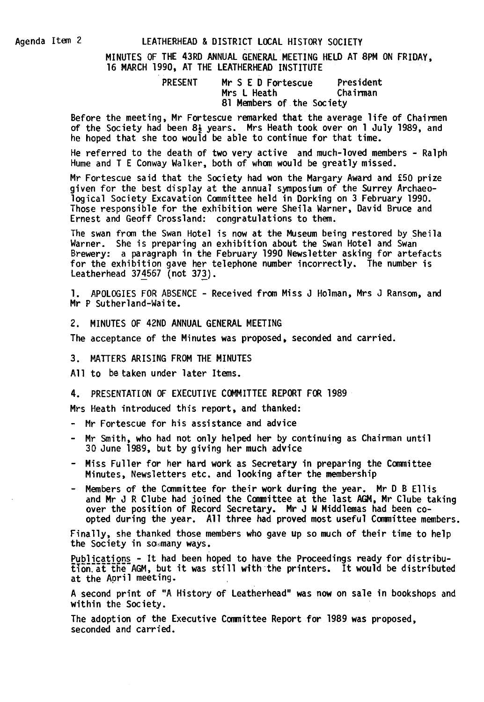# Agenda Item 2 LEATHERHEAD & DISTRICT LOCAL HISTORY SOCIETY

MINUTES OF THE 43RD ANNUAL GENERAL MEETING HELD AT 8PM ON FRIDAY. 16 MARCH 1990, AT THE LEATHERHEAD INSTITUTE

| <b>PRESENT</b> | Mr S E D Fortescue        | President |
|----------------|---------------------------|-----------|
|                | Mrs L Heath               | Chairman  |
|                | 81 Members of the Society |           |

Before the meeting, Mr Fortescue remarked that the average life of Chairmen of the Society had been 8} years. Mrs Heath took over on 1 July 1989, and he hoped that she too would be able to continue for that time.

He referred to the death of two very active and much-loved members - Ralph Hume and T E Conway Walker, both of whom would be greatly missed.

Mr Fortescue said that the Society had won the Margary Award and £50 prize given for the best display at the annual symposium of the Surrey Archaeological Society Excavation Committee held in Dorking on 3 February 1990. Those responsible for the exhibition were Sheila Warner, David Bruce and Ernest and Geoff Crossland: congratulations to them.

The swan from the Swan Hotel is now at the Museum being restored by Sheila Warner. She is preparing an exhibition about the Swan Hotel and Swan Brewery: a paragraph in the February 1990 Newsletter asking for artefacts for the exhibition gave her telephone number incorrectly. The number is Leatherhead 374567 (not 372).

1. APOLOGIES FOR ABSENCE - Received from Miss J Holman, Mrs J Ransom, and Mr P Sutherland-Waite.

2. MINUTES OF 42ND ANNUAL GENERAL MEETING

The acceptance of the Minutes was proposed, seconded and carried.

3. MATTERS ARISING FROM THE MINUTES

All to be taken under later Items.

4. PRESENTATION OF EXECUTIVE COMMITTEE REPORT FOR 1989

Mrs Heath introduced this report, and thanked:

- Mr Fortescue for his assistance and advice
- Mr Smith, who had not only helped her by continuing as Chairman until 30 June 1989, but by giving her much advice
- Miss Fuller for her hard work as Secretary in preparing the Committee Minutes, Newsletters etc. and looking after the membership
- Members of the Committee for their work during the year. Mr D B Ellis and Mr J R Clube had joined the Committee at the last AGM, Mr Clube taking over the position of Record Secretary. Mr J W Middlemas had been coopted during the year. All three had proved most useful Committee members.

Finally, she thanked those members who gave up so much of their time to help the Society in sommany ways.

Publications - It had been hoped to have the Proceedings ready for distribu- $\overline{t}$ <sub>1</sub>  $\overline{t}$ <sub>1</sub>  $\overline{t}$ <sub>1</sub>  $\overline{t}$ <sub>1</sub>  $\overline{t}$ <sub>1</sub>  $\overline{t}$ <sub>1</sub>  $\overline{t}$ <sub>1</sub>  $\overline{t}$ <sub>1</sub>  $\overline{t}$ <sub>1</sub>  $\overline{t}$ <sub>1</sub>  $\overline{t}$ <sub>1</sub>  $\overline{t}$ <sub>1</sub>  $\overline{t}$ <sub>1</sub>  $\overline{t}$ <sub>1</sub>  $\overline{t}$ <sub>1</sub>  $\overline{t}$ <sub>1</sub>  $\overline{t}$ <sub>1</sub>  $\overline{t}$ <sub>1</sub>  $\overline{$ at the April meeting.

A second print of "A History of Leatherhead" was now on sale in bookshops and within the Society.

The adoption of the Executive Committee Report for 1989 was proposed, seconded and carried.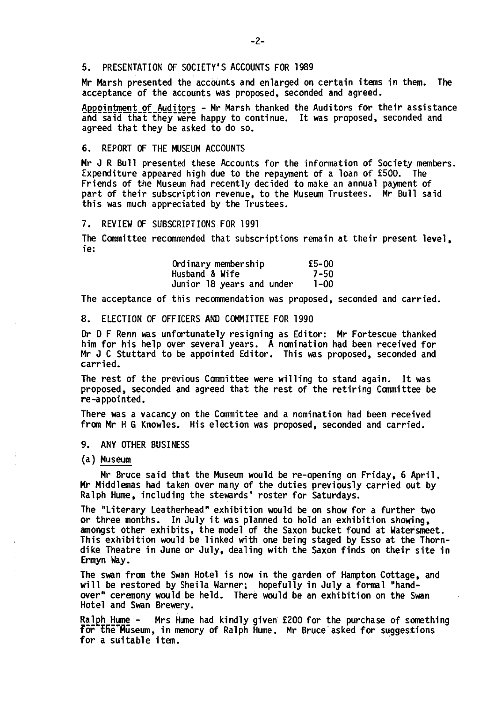## 5. PRESENTATION OF SOCIETY'S ACCOUNTS FOR 1989

Mr Marsh presented the accounts and enlarged on certain items in them. The acceptance of the accounts was proposed, seconded and agreed.

Appointment of Auditors - Mr Marsh thanked the Auditors for their assistance and said that they were happy to continue. It was proposed, seconded and agreed that they be asked to do so.

## 6. REPORT OF THE MUSEUM ACCOUNTS

Mr J R Bull presented these Accounts for the information of Society members. Expenditure appeared high due to the repayment of a loan of £500. The Friends of the Museum had recently decided to make an annual payment of part of their subscription revenue, to the Museum Trustees. Mr Bull said this was much appreciated by the Trustees.

## 7. REVIEW OF SUBSCRIPTIONS FOR 1991

The Committee recommended that subscriptions remain at their present level, ie:

| Ordinary membership       | £5-00 |
|---------------------------|-------|
| Husband & Wife            | 7-50  |
| Junior 18 years and under | 1-00  |

The acceptance of this recommendation was proposed, seconded and carried.

8. ELECTION OF OFFICERS AND COMMITTEE FOR 1990

Dr D F Renn was unfortunately resigning as Editor: Mr Fortescue thanked him for his help over several years. A nomination had been received for Mr J C Stuttard to be appointed Editor. This was proposed, seconded and carried.

The rest of the previous Committee were willing to stand again. It was proposed, seconded and agreed that the rest of the retiring Committee be re-appointed.

There was a vacancy on the Committee and a nomination had been received from Mr H G Knowles. His election was proposed, seconded and carried.

- 9. ANY OTHER BUSINESS
- (a) Museum

Mr Bruce said that the Museum would be re-opening on Friday, 6 April. Mr Middlemas had taken over many of the duties previously carried out by Ralph Hume, including the stewards' roster for Saturdays.

The "Literary Leatherhead" exhibition would be on show for a further two or three months. In July it was planned to hold an exhibition showing, amongst other exhibits, the model of the Saxon bucket found at Watersmeet. This exhibition would be linked with one being staged by Esso at the Thorndike Theatre in June or July, dealing with the Saxon finds on their site in Ermyn Way.

The swan from the Swan Hotel is now in the garden of Hampton Cottage, and will be restored by Sheila Warner; hopefully in July a formal "handover" ceremony would be held. There would be an exhibition on the Swan Hotel and Swan Brewery.

Ralph Hume - Mrs Hume had kindly given £200 for the purchase of something f5r tFie'fiuseum, in memory of Ralph Hume. Mr Bruce asked for suggestions for a suitable item.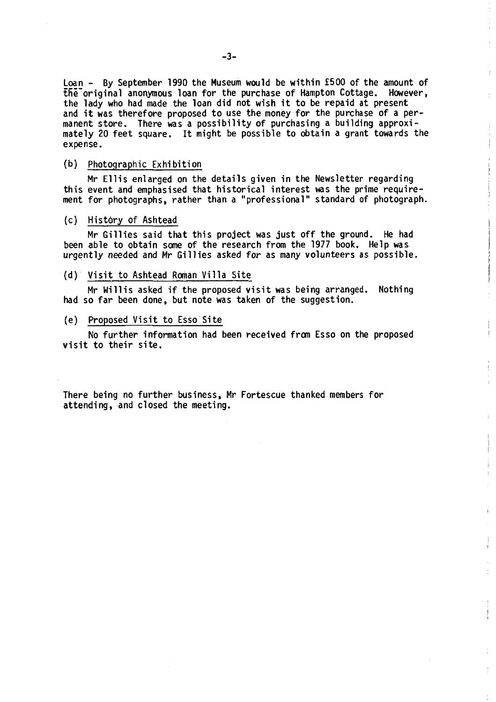Loan - By September 1990 the Museum would be within £500 of the amount of tfie'original anonymous loan for the purchase of Hampton Cottage. However, the lady who had made the loan did not wish it to be repaid at present and it was therefore proposed to use the money for the purchase of a permanent store. There was a possibility of purchasing a building approximately 20 feet square. It might be possible to obtain a grant towards the expense.

÷ Ŷ  $\frac{1}{2}$ 

Ì

ţ

ţ

ţ

## (b) Photographic Exhibition

Mr Ellis enlarged on the details given in the Newsletter regarding this event and emphasised that historical interest was the prime requirement for photographs, rather than a "professional" standard of photograph.

#### (c) History of Ashtead

Mr Gillies said that this project was just off the ground. He had been able to obtain some of the research from the 1977 book. Help was urgently needed and Mr Gillies asked *for* as many volunteers as possible.

## (d) Visit to Ashtead Roman Villa Site

Mr Willis asked if the proposed visit was being arranged. Nothing had so far been done, but note was taken of the suggestion.

#### (e) Proposed Visit to Esso Site

No further information had been received from Esso on the proposed visit to their site.

There being no further business, Mr Fortescue thanked members for attending, and closed the meeting.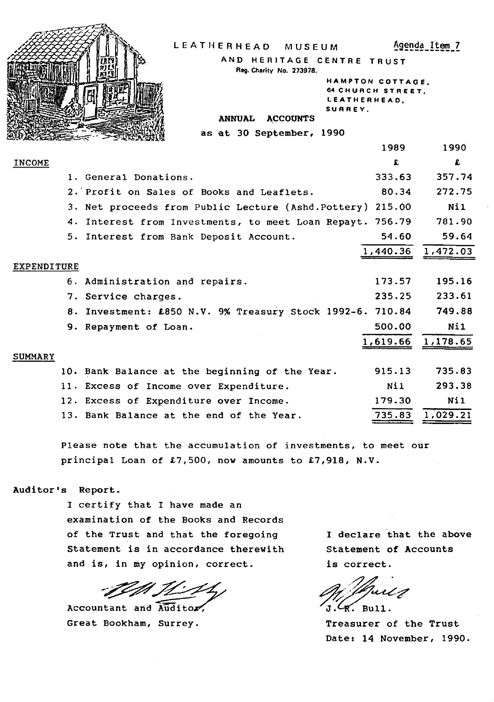| LEATHERHEAD<br>MUSEUM<br>AND HERITAGE CENTRE TRUST<br>Reg. Charity No. 273978.<br>SURREY.<br><b>ACCOUNTS</b><br><b>ANNUAL</b> | HAMPTON COTTAGE.<br><b>64 CHURCH STREET.</b><br>LEATHERHEAD, | Agenda Item 7 |
|-------------------------------------------------------------------------------------------------------------------------------|--------------------------------------------------------------|---------------|
| as at 30 September, 1990                                                                                                      |                                                              |               |
|                                                                                                                               | 1989                                                         | 1990          |
| <b>INCOME</b>                                                                                                                 | £                                                            | £             |
| 1. General Donations.                                                                                                         | 333.63                                                       | 357.74        |
| 2. Profit on Sales of Books and Leaflets.                                                                                     | 80.34                                                        | 272.75        |
| 3. Net proceeds from Public Lecture (Ashd.Pottery) 215.00                                                                     |                                                              | Nil           |
| 4. Interest from Investments, to meet Loan Repayt. 756.79                                                                     |                                                              | 781.90        |
| 5. Interest from Bank Deposit Account.                                                                                        | 54.60                                                        | 59.64         |
|                                                                                                                               | 1,440.36                                                     | 1,472.03      |
| EXPENDITURE                                                                                                                   |                                                              |               |
| 6. Administration and repairs.                                                                                                | 173.57                                                       | 195.16        |
| 7. Service charges.                                                                                                           | 235.25                                                       | 233.61        |
| 8. Investment: £850 N.V. 9% Treasury Stock 1992-6. 710.84                                                                     |                                                              | 749.88        |
| 9. Repayment of Loan.                                                                                                         | 500.00                                                       | N11           |
|                                                                                                                               | 1,619.66                                                     | 1,178.65      |
| <b>SUMMARY</b>                                                                                                                |                                                              |               |
| 10. Bank Balance at the beginning of the Year.                                                                                | 915.13                                                       | 735.83        |
| 11. Excess of Income over Expenditure.                                                                                        | Nil                                                          | 293.38        |
| 12. Excess of Expenditure over Income.                                                                                        | 179.30                                                       | Ni1           |
| 13. Bank Balance at the end of the Year.                                                                                      | 735.83                                                       | 1,029.21      |
|                                                                                                                               |                                                              |               |

Please note that the accumulation of investments, to meet our principal Loan of  $£7,500$ , now amounts to  $£7,918$ , N.V.

# Auditor's Report.

I certify that I have made an examination of the Books and Records of the Trust and that the foregoing Statement is in accordance therewith and is, in my opinion, correct.

IMIL 11

Accountant and  $\widetilde{\text{Audi}}$ tor Great Bookham, Surrey.

I declare that the above Statement of Accounts is correct.

,  $\mathcal{L}$  $\mathcal{L}_{\mathbb{R}}$ . Bull.

Treasurer of the Trust Date: 14 November, 1990.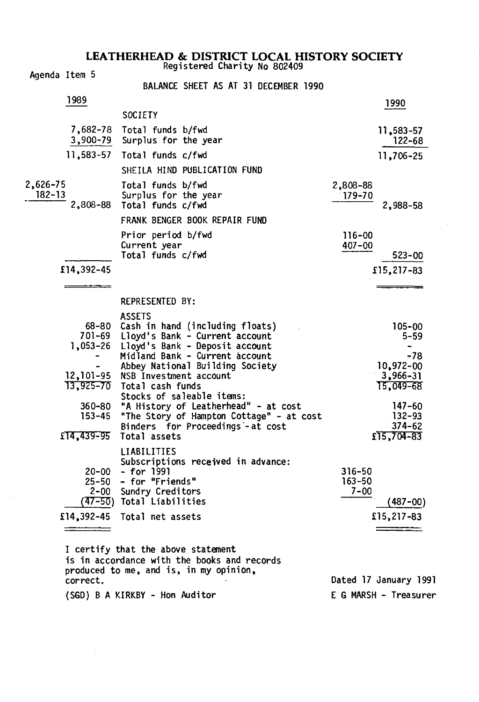Agenda Item 5 BALANCE SHEET AS AT 31 DECEMBER 1990 1989 1990 **SOCIETY** 7,682-78 Total funds b/fwd<br>3,900-79 Surplus for the year 122-68 Surplus for the year 11,583-57 Total funds c/fwd 11,706-25 SHEILA HIND PUBLICATION FUND 2,626-75 Total funds b/fwd 2,808-88 Surplus for the year<br>2.808-88 Total funds c/fwd Total funds c/fwd 2,988-58 FRANK BENGER BOOK REPAIR FUND Prior period b/fwd 116-00<br>Current vear 116-00 Current year  $Total funds c/fwd$  523-00 £14,392-45 £15,217-83 <u>—————</u> REPRESENTED BY: ASSETS 68-80 Cash in hand (including floats) 105-00 701-69 Lloyd's Bank - Current account<br>1.053-26 Lloyd's Bank - Deposit account Lloyd's Bank - Deposit account Midland Bank - Current account -78 Abbey National Building Society 10,972-00<br>
NSB Investment account 13,966-31 12,101-95 NSB Investment account<br>13,925-70 Total cash funds<br>15.049-68  $13,925-70$  Total cash funds Stocks of saleable items: 360-80 "A History of Leatherhead" - at cost 147-60<br>153-45 "The Story of Hampton Cottage" - at cost 132-93 153-45 "The Story of Hampton Cottage" - at cost 132-93 Binders for Proceedings-at cost 374-62<br>Total assets fils.704-83  $£14,439-95$  Total assets LIABILITIES Subscriptions received in advance: 20-00 - for 1991 316-50 25-50 - for "Friends" 163-50 Sundry Creditors (47-50) Total Liabilities (487-00) £14,392-45 Total net assets £15,217-83  $\frac{1}{\sqrt{1-\frac{1}{2}}\left(1-\frac{1}{2}\right)}=\frac{1}{2\sqrt{1-\frac{1}{2}}\left(1-\frac{1}{2}\right)}=\frac{1}{2\sqrt{1-\frac{1}{2}}\left(1-\frac{1}{2}\right)}=\frac{1}{2\sqrt{1-\frac{1}{2}}\left(1-\frac{1}{2}\right)}=\frac{1}{2\sqrt{1-\frac{1}{2}}\left(1-\frac{1}{2}\right)}=\frac{1}{2\sqrt{1-\frac{1}{2}}\left(1-\frac{1}{2}\right)}=\frac{1}{2\sqrt{1-\frac{1}{2}}\left(1-\frac{1}{2}\right)}=\frac{1}{2\sqrt{1-\$  $\frac{1}{1-\frac{1}{1-\frac{1}{1-\frac{1}{1-\frac{1}{1-\frac{1}{1-\frac{1}{1-\frac{1}{1-\frac{1}{1-\frac{1}{1-\frac{1}{1-\frac{1}{1-\frac{1}{1-\frac{1}{1-\frac{1}{1-\frac{1}{1-\frac{1}{1-\frac{1}{1-\frac{1}{1-\frac{1}{1-\frac{1}{1-\frac{1}{1-\frac{1}{1-\frac{1}{1-\frac{1}{1-\frac{1}{1-\frac{1}{1-\frac{1}{1-\frac{1}{1-\frac{1}{1-\frac{1}{1-\frac{1}{1-\frac{1}{1-\frac{1}{1-\frac{1}{1-\frac{1}{1-\frac{1$ I certify that the above statement is in accordance with the books and records

produced to me, and is, in my opinion, correct. Dated 17 January 1991 (SGD) B A KIRKBY - Hon Auditor E G MARSH - Treasurer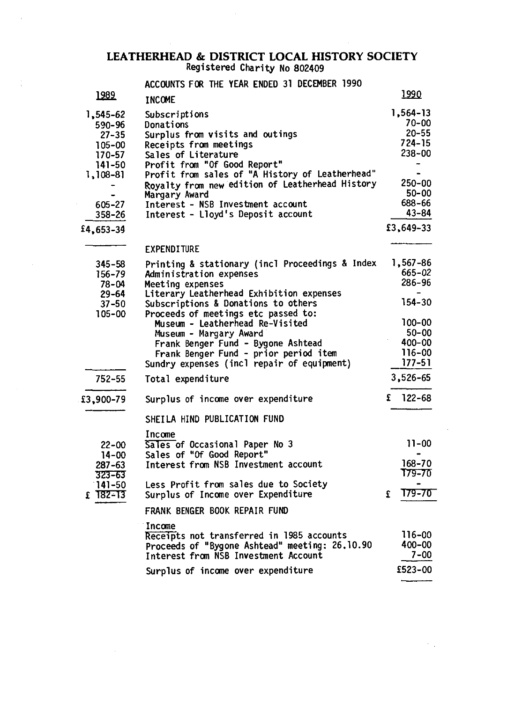ACCOUNTS FOR THE YEAR ENDED 31 DECEMBER 1990

| 1989                                                                                                       | <b>INCOME</b>                                                                                                                                                                                                                                                                                                                                    | 1990                                                                                                      |
|------------------------------------------------------------------------------------------------------------|--------------------------------------------------------------------------------------------------------------------------------------------------------------------------------------------------------------------------------------------------------------------------------------------------------------------------------------------------|-----------------------------------------------------------------------------------------------------------|
| 1,545-62<br>590-96<br>$27 - 35$<br>105-00<br>170-57<br>141-50<br>1,108-81<br>605-27<br>358-26<br>£4,653-34 | Subscriptions<br>Donations<br>Surplus from visits and outings<br>Receipts from meetings<br>Sales of Literature<br>Profit from "Of Good Report"<br>Profit from sales of "A History of Leatherhead"<br>Royalty from new edition of Leatherhead History<br>Margary Award<br>Interest - NSB Investment account<br>Interest - Lloyd's Deposit account | 1,564-13<br>$70 - 00$<br>20-55<br>724-15<br>238-00<br>250-00<br>50-00<br>688-66<br>$43 - 84$<br>£3,649-33 |
|                                                                                                            | <b>EXPENDITURE</b>                                                                                                                                                                                                                                                                                                                               |                                                                                                           |
| 345-58<br>156-79<br>78-04<br>$29 - 64$                                                                     | Printing & stationary (incl Proceedings & Index<br>Administration expenses<br>Meeting expenses<br>Literary Leatherhead Exhibition expenses                                                                                                                                                                                                       | 1,567-86<br>665–02<br>286-96                                                                              |
| $37 - 50$<br>105-00                                                                                        | Subscriptions & Donations to others<br>Proceeds of meetings etc passed to:<br>Museum - Leatherhead Re-Visited<br>Museum - Margary Award<br>Frank Benger Fund - Bygone Ashtead<br>Frank Benger Fund - prior period item<br>Sundry expenses (incl repair of equipment)                                                                             | 154-30<br>100-00<br>50-00<br>$400 - 00$<br>116-00<br>$177 - 51$                                           |
| 752-55                                                                                                     | Total expenditure                                                                                                                                                                                                                                                                                                                                | 3,526-65                                                                                                  |
| £3,900-79                                                                                                  | Surplus of income over expenditure<br>SHEILA HIND PUBLICATION FUND                                                                                                                                                                                                                                                                               | $122 - 68$<br>£                                                                                           |
| 22-00<br>$14 - 00$<br>$287 - 63$<br>323-63                                                                 | Income<br>Sales of Occasional Paper No 3<br>Sales of "Of Good Report"<br>Interest from NSB Investment account                                                                                                                                                                                                                                    | $11 - 00$<br>168-70<br>179-70                                                                             |
| $141 - 50$<br>$£$ 182–13                                                                                   | Less Profit from sales due to Society<br>Surplus of Income over Expenditure                                                                                                                                                                                                                                                                      | 179-70<br>£                                                                                               |
|                                                                                                            | FRANK BENGER BOOK REPAIR FUND                                                                                                                                                                                                                                                                                                                    |                                                                                                           |
|                                                                                                            | Income<br>Receipts not transferred in 1985 accounts<br>Proceeds of "Bygone Ashtead" meeting: 26.10.90<br>Interest from NSB Investment Account                                                                                                                                                                                                    | 116-00<br>400-00<br>7-00                                                                                  |
|                                                                                                            | Surplus of income over expenditure                                                                                                                                                                                                                                                                                                               | £523-00                                                                                                   |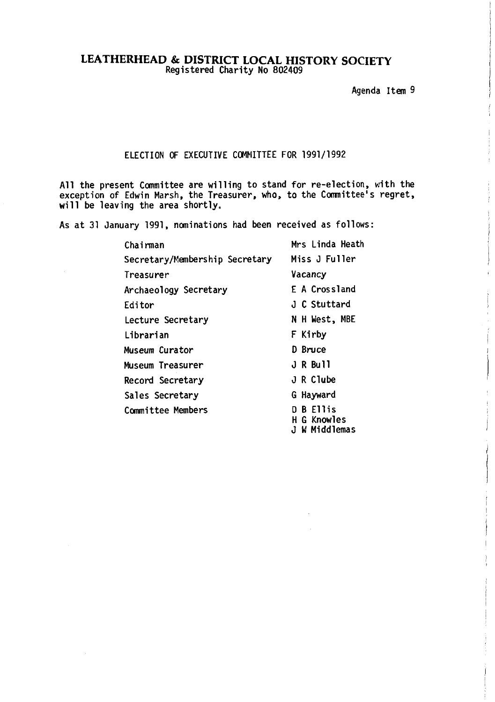Agenda Item 9

# ELECTION OF EXECUTIVE COMMITTEE FOR 1991/1992

All the present Committee are willing to stand for re-election, with the exception of Edwin Marsh, the Treasurer, who, to the Committee's regret, will be leaving the area shortly.

As at 31 January 1991, nominations had been received as follows:

| Chairman                       | Mrs Linda Heath                              |
|--------------------------------|----------------------------------------------|
| Secretary/Membership Secretary | Miss J Fuller                                |
| Treasurer                      | Vacancy                                      |
| Archaeology Secretary          | <b>F A Crossland</b>                         |
| Editor                         | J C Stuttard                                 |
| Lecture Secretary              | N H West, MBE                                |
| Librarian                      | F Kirby                                      |
| Museum Curator                 | D Bruce                                      |
| Museum Treasurer               | J R Bull                                     |
| Record Secretary               | J R Clube                                    |
| Sales Secretary                | G Hayward                                    |
| <b>Committee Members</b>       | <b>B</b> Ellis<br>H G Knowles<br>W Middlemas |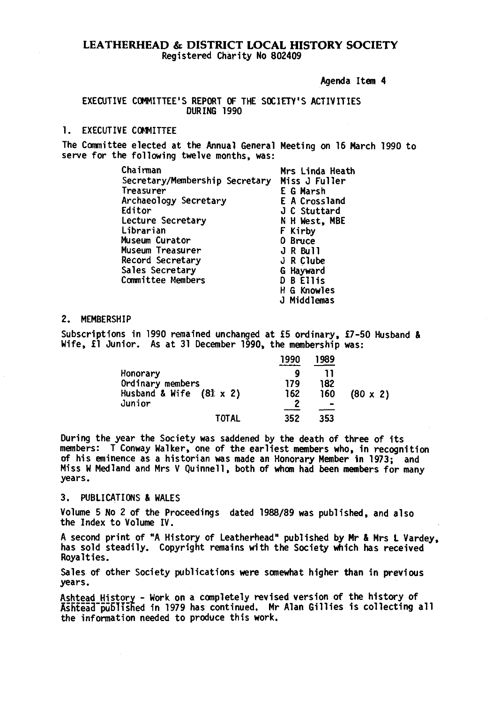Agenda Item 4

## EXECUTIVE COMMITTEE'S REPORT OF THE SOCIETY'S ACTIVITIES DURING 1990

# 1. EXECUTIVE COMMITTEE

The Committee elected at the Annual General Meeting on 16 March 1990 to serve for the following twelve months, was:

| Chairman                       | Mrs Linda Heath    |
|--------------------------------|--------------------|
| Secretary/Membership Secretary | Miss J Fuller      |
| Treasurer                      | E G Marsh          |
| Archaeology Secretary          | E A Crossland      |
| Editor                         | J C Stuttard       |
| Lecture Secretary              | N H West, MBE      |
| Librarian                      | F Kirby            |
| Museum Curator                 | 0 Bruce            |
| <b>Museum Treasurer</b>        | J R Bull           |
| Record Secretary               | J R Clube          |
| Sales Secretary                | G Hayward          |
| <b>Committee Members</b>       | D B Ellis          |
|                                | <b>H</b> G Knowles |
|                                | ammafhhiM L.       |

## 2. MEMBERSHIP

Subscriptions in 1990 remained unchanged at £5 ordinary, £7-50 Husband & Wife, £1 Junior. As at 31 December 1990, the membership was:

|                                | 1990 | 1989 |                 |
|--------------------------------|------|------|-----------------|
| Honorary                       | ο    |      |                 |
| Ordinary members               | 179  | 182  |                 |
| Husband & Wife $(81 \times 2)$ | 162  | 160  | $(80 \times 2)$ |
| Junior                         | 2    |      |                 |
| TOTAL                          | 352  | 353  |                 |

During the year the Society was saddened by the death of three of its members: T Conway Walker, one of the earliest members who, in recognition of his eminence as a historian was made an Honorary Member in 1973; and Miss W Med land and Mrs V Quinnell, both of whom had been members for many years.

## 3. PUBLICATIONS & WALES

Volume 5 No 2 of the Proceedings dated 1988/89 was published, and also the Index to Volume IV.

A second print of "A History of Leatherhead" published by Mr & Mrs L Vardey, has sold steadily. Copyright remains with the Society which has received Royalties.

Sales of other Society publications were somewhat higher than in previous years.

Ashtead History - Work on a completely revised version of the history of Ashtead published in 1979 has continued. Mr Alan Gillies is collecting all the information needed to produce this work.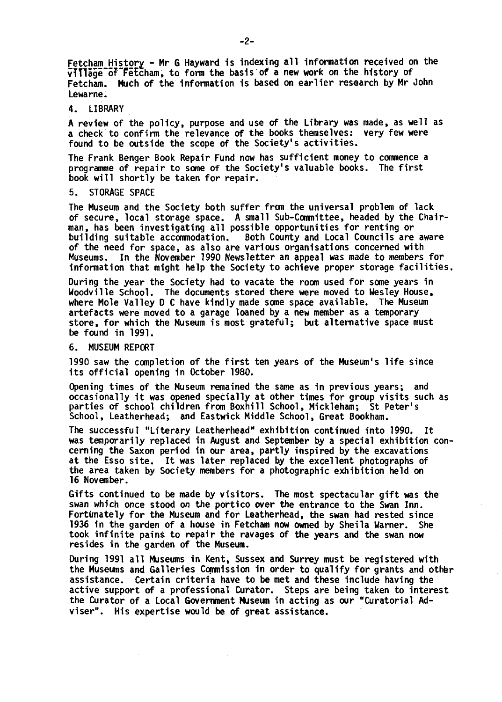Fetcham History - Mr G Hayward is indexing all information received on the vIIIage of Fetcham, to form the basis of a new work on the history of Fetcham. Much of the information is based on earlier research by Mr John Lewame.

## 4. LIBRARY

A review of the policy, purpose and use of the Library was made, as well as a check to confirm the relevance of the books themselves: very few were found to be outside the scope of the Society's activities.

The Frank Benger Book Repair Fund now has sufficient money to commence a programme of repair to some of the Society's valuable books. The first book will shortly be taken for repair.

## 5. STORAGE SPACE

The Museum and the Society both suffer from the universal problem of lack of secure, local storage space. A small Sub-Committee, headed by the Chairman, has been investigating all possible opportunities for renting or building suitable accommodation. Both County and Local Councils are aware of the need for space, as also are various organisations concerned with Museums. In the November 1990 Newsletter an appeal was made to members for information that might help the Society to achieve proper storage facilities.

During the year the Society had to vacate the room used for some years in Woodville School. The documents stored there were moved to Wesley House, where Mole Valley D C have kindly made some space available. The Museum artefacts were moved to a garage loaned by a new member as a temporary store, for which the Museum is most grateful; but alternative space must be found in 1991.

## 6. MUSEUM REPORT

1990 saw the completion of the first ten years of the Museum's life since its official opening in October 1980.

Opening times of the Museum remained the same as in previous years; and occasionally it was opened specially at other times for group visits such as parties of school children from Boxhill School, Mickleham; St Peter's School, Leatherhead; and Eastwick Middle School, Great Bookham.

The successful "Literary Leatherhead" exhibition continued into 1990. It was temporarily replaced in August and September by a special exhibition concerning the Saxon period in our area, partly inspired by the excavations at the Esso site. It was later replaced by the excellent photographs of the area taken by Society members for a photographic exhibition held on 16 November.

Gifts continued to be made by visitors. The most spectacular gift was the swan which once stood on the portico over the entrance to the Swan Inn. Fortunately for the Museum and for Leatherhead, the swan had rested since 1936 in the garden of a house in Fetcham now owned by Sheila Warner. She took infinite pains to repair the ravages of the years and the swan now resides in the garden of the Museum.

During 1991 all Museums in Kent, Sussex and Surrey must be registered with the Museums and Galleries Commission in order to qualify for grants and othbr assistance. Certain criteria have to be met and these include having the active support of a professional Curator. Steps are being taken to interest the Curator of a Local Government Museum in acting as our "Curatorial Adviser". His expertise would be of great assistance.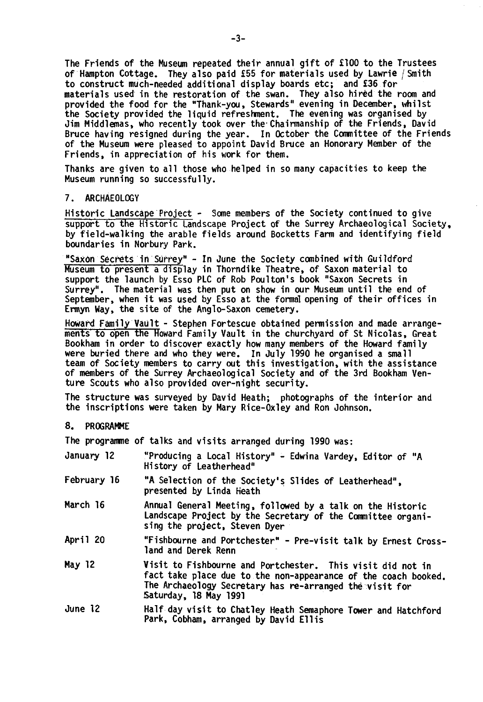The Friends of the Museum repeated their annual gift of £100 to the Trustees of Hampton Cottage. They also paid £55 for materials used by Lawrie /Smith to construct much-needed additional display boards etc; and £36 for materials used in the restoration of the swan. They also hired the room and provided the food for the "Thank-you, Stewards" evening in December, whilst the Society provided the liquid refreshment. The evening was organised by Jim Middlemas, who recently took over the'Chairmanship of the Friends, David Bruce having resigned during the year. In October the Committee of the Friends of the Museum were pleased to appoint David Bruce an Honorary Member of the Friends, in appreciation of his work for them.

Thanks are given to all those who helped in so many capacities to keep the Museum running so successfully.

## 7. ARCHAEOLOGY

Historic Landscape Project - Some members of the Society continued to give support to the Historic Landscape Project of the Surrey Archaeological Society, by field-walking the arable fields around Bocketts Farm and identifying field boundaries in Norbury Park.

"SaxOn Secrets in Surrey" - In June the Society combined with Guildford Museum to present a display in Thorndike Theatre, of Saxon material to support the launch by Esso PLC of Rob Poulton's book "Saxon Secrets in Surrey". The material was then put on show in our Museum until the end of September, when it was used by Esso at the formal opening of their offices in Ermyn Way, the site of the Anglo-Saxon cemetery.

Howard Family Vault - Stephen Fortescue obtained permission and made arrangements to open the Howard Family Vault in the churchyard of St Nicolas, Great Bookham in order to discover exactly how many members of the Howard family were buried there and who they were. In July 1990 he organised a small team of Society members to carry out this investigation, with the assistance of members of the Surrey Archaeological Society and of the 3rd Bookham Venture Scouts who also provided over-night security.

The structure was surveyed by David Heath; photographs of the interior and the inscriptions were taken by Mary Rice-Oxley and Ron Johnson.

#### 8. PROGRAMME

The programme of talks and visits arranged during 1990 was:

| January 12  | "Producing a Local History" - Edwina Vardey, Editor of "A<br>History of Leatherhead" |
|-------------|--------------------------------------------------------------------------------------|
| Februarv 16 | "A Selection of the Society's Slides of Leatherhead"                                 |

- $\cdot$ s prides of Leatherhead", presented by Linda Heath
- March 16 Annual General Meeting, followed by a talk on the Historic Landscape Project by the Secretary of the Committee organising the project, Steven Dyer
- April 20 "Fishbourne and Portchester" Pre-visit talk by Ernest Crossland and Derek Renn
- May 12 Visit to Fishbourne and Portchester. This visit did not in fact take place due to the non-appearance of the coach booked. The Archaeology Secretary has re-arranged the visit for Saturday, 18 May 1991
- June 12 Half day visit to Chatley Heath Semaphore Tower and Hatchford Park, Cobham, arranged by David Ellis